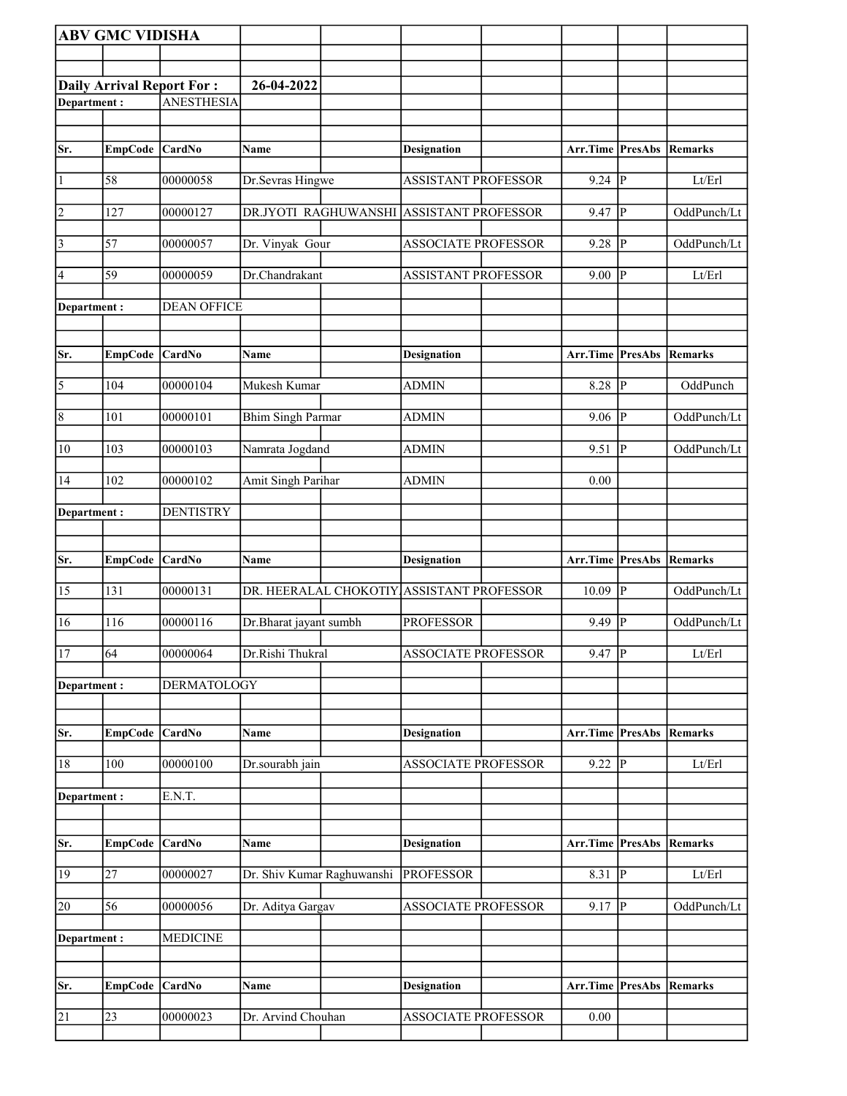|                | <b>ABV GMC VIDISHA</b> |                                  |                            |                                           |                                 |                        |                            |
|----------------|------------------------|----------------------------------|----------------------------|-------------------------------------------|---------------------------------|------------------------|----------------------------|
|                |                        |                                  |                            |                                           |                                 |                        |                            |
|                |                        | <b>Daily Arrival Report For:</b> | 26-04-2022                 |                                           |                                 |                        |                            |
| Department:    |                        | <b>ANESTHESIA</b>                |                            |                                           |                                 |                        |                            |
|                |                        |                                  |                            |                                           |                                 |                        |                            |
| Sr.            | EmpCode CardNo         |                                  | Name                       | <b>Designation</b>                        | <b>Arr.Time PresAbs</b>         |                        | Remarks                    |
| $\vert$        | 58                     | 00000058                         | Dr.Sevras Hingwe           | <b>ASSISTANT PROFESSOR</b>                | 9.24                            | $ {\rm p} $            | Lt/Erl                     |
| 2              | 127                    | 00000127                         | DR.JYOTI RAGHUWANSHI       | <b>ASSISTANT PROFESSOR</b>                | 9.47                            | P                      | OddPunch/Lt                |
| $\vert$ 3      | 57                     | 00000057                         | Dr. Vinyak Gour            | <b>ASSOCIATE PROFESSOR</b>                | 9.28                            | <sup> p</sup>          | OddPunch/Lt                |
| 4              | 59                     | 00000059                         | Dr.Chandrakant             | <b>ASSISTANT PROFESSOR</b>                | 9.00                            | ∣P                     | Lt/Erl                     |
| Department :   |                        | <b>DEAN OFFICE</b>               |                            |                                           |                                 |                        |                            |
| Sr.            | EmpCode CardNo         |                                  | Name                       | <b>Designation</b>                        | <b>Arr.Time PresAbs Remarks</b> |                        |                            |
|                |                        |                                  |                            |                                           |                                 |                        |                            |
| 5              | 104                    | 00000104                         | Mukesh Kumar               | <b>ADMIN</b>                              | 8.28                            | P                      | OddPunch                   |
| $\overline{8}$ | 101                    | 00000101                         | <b>Bhim Singh Parmar</b>   | <b>ADMIN</b>                              | 9.06                            | lР                     | OddPunch/Lt                |
| 10             | 103                    | 00000103                         | Namrata Jogdand            | <b>ADMIN</b>                              | 9.51                            | P                      | OddPunch/Lt                |
| 14             | 102                    | 00000102                         | <b>Amit Singh Parihar</b>  | <b>ADMIN</b>                              | 0.00                            |                        |                            |
| Department :   |                        | <b>DENTISTRY</b>                 |                            |                                           |                                 |                        |                            |
|                |                        |                                  |                            |                                           |                                 |                        |                            |
| Sr.            | EmpCode CardNo         |                                  | Name                       | <b>Designation</b>                        | Arr.Time   PresAbs   Remarks    |                        |                            |
| 15             | 131                    | 00000131                         |                            | DR. HEERALAL CHOKOTIY ASSISTANT PROFESSOR | 10.09                           | p                      | OddPunch/Lt                |
| 16             | 116                    | 00000116                         | Dr.Bharat jayant sumbh     | <b>PROFESSOR</b>                          | 9.49                            | P                      | OddPunch/Lt                |
| <sup>17</sup>  | $\overline{64}$        | 00000064                         | Dr.Rishi Thukral           | <b>ASSOCIATE PROFESSOR</b>                | $9.47$ P                        |                        | Lt/Erl                     |
| Department:    |                        | <b>DERMATOLOGY</b>               |                            |                                           |                                 |                        |                            |
| Sr.            | <b>EmpCode</b>         | CardNo                           | <b>Name</b>                | <b>Designation</b>                        | <b>Arr.Time PresAbs Remarks</b> |                        |                            |
| 18             | 100                    | 00000100                         | Dr.sourabh jain            | <b>ASSOCIATE PROFESSOR</b>                | 9.22                            | P                      | Lt/Erl                     |
|                |                        |                                  |                            |                                           |                                 |                        |                            |
| Department :   |                        | E.N.T.                           |                            |                                           |                                 |                        |                            |
| Sr.            | <b>EmpCode</b>         | CardNo                           | Name                       | <b>Designation</b>                        | Arr.Time                        | PresAbs                | Remarks                    |
| 19             | 27                     | 00000027                         | Dr. Shiv Kumar Raghuwanshi | <b>PROFESSOR</b>                          | 8.31                            | $\overline{P}$         | $\mathbf{Lt}/\mathbf{Erl}$ |
| 20             | 56                     | 00000056                         | Dr. Aditya Gargav          | <b>ASSOCIATE PROFESSOR</b>                | 9.17                            | P                      | OddPunch/Lt                |
| Department:    |                        | <b>MEDICINE</b>                  |                            |                                           |                                 |                        |                            |
|                |                        |                                  |                            |                                           |                                 |                        |                            |
| Sr.            | EmpCode                | CardNo                           | Name                       | <b>Designation</b>                        | Arr.Time                        | <b>PresAbs Remarks</b> |                            |
| 21             | 23                     | 00000023                         | Dr. Arvind Chouhan         | <b>ASSOCIATE PROFESSOR</b>                | 0.00                            |                        |                            |
|                |                        |                                  |                            |                                           |                                 |                        |                            |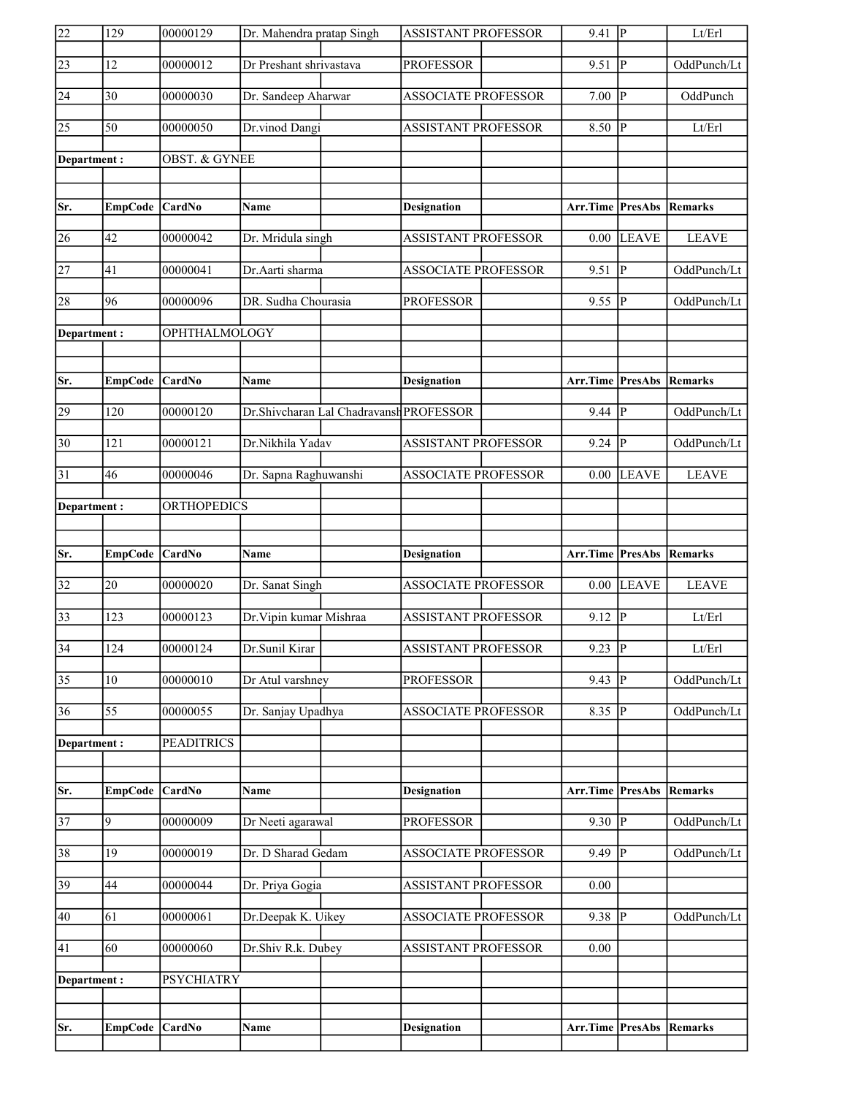| $\overline{22}$ | 129              | 00000129                 | Dr. Mahendra pratap Singh               | <b>ASSISTANT PROFESSOR</b> | 9.41                            | $ {\bf P} $             | Lt/Erl       |
|-----------------|------------------|--------------------------|-----------------------------------------|----------------------------|---------------------------------|-------------------------|--------------|
| $\sqrt{23}$     | 12               | 00000012                 | Dr Preshant shrivastava                 | <b>PROFESSOR</b>           | 9.51                            | $\overline{\mathbb{P}}$ | OddPunch/Lt  |
| 24              | 30               | 00000030                 | Dr. Sandeep Aharwar                     | <b>ASSOCIATE PROFESSOR</b> | 7.00                            | $\overline{\mathbf{P}}$ | OddPunch     |
| 25              | 50               | 00000050                 | Dr.vinod Dangi                          | <b>ASSISTANT PROFESSOR</b> | 8.50                            | P                       | Lt/Erl       |
| Department:     |                  | <b>OBST. &amp; GYNEE</b> |                                         |                            |                                 |                         |              |
|                 |                  |                          |                                         |                            |                                 |                         |              |
| Sr.             | <b>EmpCode</b>   | <b>CardNo</b>            | Name                                    | <b>Designation</b>         | Arr.Time PresAbs                |                         | Remarks      |
| 26              | 42               | 00000042                 | Dr. Mridula singh                       | <b>ASSISTANT PROFESSOR</b> | 0.00                            | <b>LEAVE</b>            | <b>LEAVE</b> |
| 27              | 41               | 00000041                 | Dr.Aarti sharma                         | <b>ASSOCIATE PROFESSOR</b> | 9.51                            | ∣P                      | OddPunch/Lt  |
| 28              | 96               | 00000096                 | DR. Sudha Chourasia                     | <b>PROFESSOR</b>           | 9.55  P                         |                         | OddPunch/Lt  |
| Department:     |                  | OPHTHALMOLOGY            |                                         |                            |                                 |                         |              |
|                 |                  |                          |                                         |                            |                                 |                         |              |
| Sr.             | <b>EmpCode</b>   | CardNo                   | Name                                    | <b>Designation</b>         | Arr.Time PresAbs Remarks        |                         |              |
| 29              | 120              | 00000120                 | Dr.Shivcharan Lal Chadravansh PROFESSOR |                            | $9.44$ $\overline{P}$           |                         | OddPunch/Lt  |
| $\overline{30}$ | 121              | 00000121                 | Dr.Nikhila Yadav                        | <b>ASSISTANT PROFESSOR</b> | 9.24                            | P                       | OddPunch/Lt  |
| $\overline{31}$ | 46               | 00000046                 | Dr. Sapna Raghuwanshi                   | <b>ASSOCIATE PROFESSOR</b> | 0.00                            | <b>LEAVE</b>            | <b>LEAVE</b> |
| Department:     |                  | ORTHOPEDICS              |                                         |                            |                                 |                         |              |
|                 |                  |                          |                                         |                            |                                 |                         |              |
|                 |                  |                          |                                         |                            |                                 |                         |              |
| Sr.             | EmpCode CardNo   |                          | <b>Name</b>                             | <b>Designation</b>         | <b>Arr.Time PresAbs Remarks</b> |                         |              |
| 32              | 20               | 00000020                 | Dr. Sanat Singh                         | <b>ASSOCIATE PROFESSOR</b> |                                 | $0.00$ LEAVE            | <b>LEAVE</b> |
| $\overline{33}$ | 123              | 00000123                 | Dr. Vipin kumar Mishraa                 | <b>ASSISTANT PROFESSOR</b> | 9.12                            | <sup> </sup> P          | Lt/Erl       |
| $\overline{34}$ | $\overline{124}$ | 00000124                 | Dr.Sunil Kirar                          | ASSISTANT PROFESSOR        | $9.23$ P                        |                         | Lt/Erl       |
| $\overline{35}$ | 10               | 00000010                 | Dr Atul varshney                        | <b>PROFESSOR</b>           | 9.43                            | P                       | OddPunch/Lt  |
| $\overline{36}$ | 55               | 00000055                 | Dr. Sanjay Upadhya                      | <b>ASSOCIATE PROFESSOR</b> | 8.35                            | ₽                       | OddPunch/Lt  |
| Department:     |                  | <b>PEADITRICS</b>        |                                         |                            |                                 |                         |              |
|                 |                  |                          |                                         |                            |                                 |                         |              |
| Sr.             | <b>EmpCode</b>   | CardNo                   | <b>Name</b>                             | <b>Designation</b>         | Arr.Time PresAbs                |                         | Remarks      |
| 37              | 9                | 00000009                 | Dr Neeti agarawal                       | <b>PROFESSOR</b>           | 9.30 $  \overline{P}$           |                         | OddPunch/Lt  |
| 38              | 19               | 00000019                 | Dr. D Sharad Gedam                      | ASSOCIATE PROFESSOR        | 9.49                            | $\overline{\mathbb{P}}$ | OddPunch/Lt  |
| 39              | 44               | 00000044                 | Dr. Priya Gogia                         | ASSISTANT PROFESSOR        | 0.00                            |                         |              |
| 40              | 61               | 00000061                 | Dr.Deepak K. Uikey                      | <b>ASSOCIATE PROFESSOR</b> | 9.38 $ P $                      |                         | OddPunch/Lt  |
| 41              | 60               | 00000060                 | Dr.Shiv R.k. Dubey                      | ASSISTANT PROFESSOR        | 0.00                            |                         |              |
| Department:     |                  | <b>PSYCHIATRY</b>        |                                         |                            |                                 |                         |              |
|                 |                  |                          |                                         |                            |                                 |                         |              |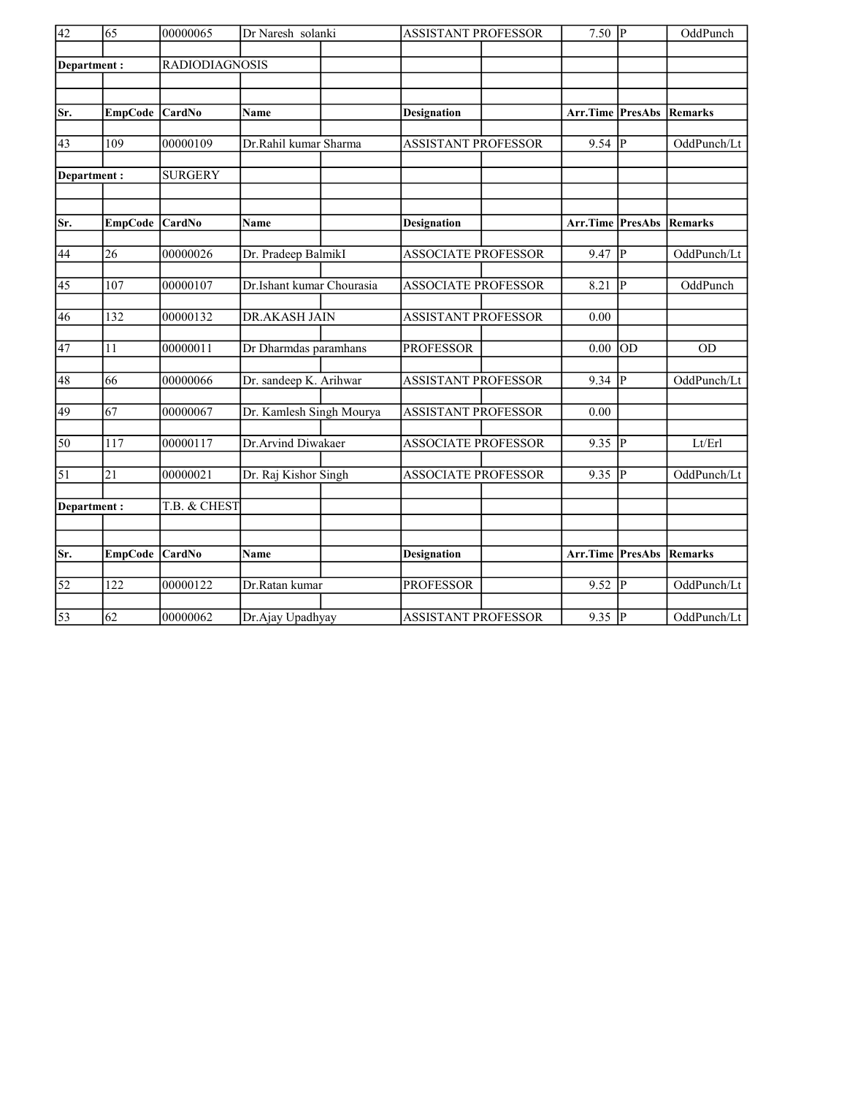| $\overline{42}$ | $\overline{65}$  | 00000065              | Dr Naresh solanki         | <b>ASSISTANT PROFESSOR</b> | $7.50$ P         |                 | OddPunch        |
|-----------------|------------------|-----------------------|---------------------------|----------------------------|------------------|-----------------|-----------------|
| Department:     |                  | <b>RADIODIAGNOSIS</b> |                           |                            |                  |                 |                 |
|                 |                  |                       |                           |                            |                  |                 |                 |
| Sr.             | <b>EmpCode</b>   | CardNo                | Name                      | <b>Designation</b>         | Arr.Time         | <b>PresAbs</b>  | <b> Remarks</b> |
|                 |                  |                       |                           |                            |                  |                 |                 |
| 43              | $\overline{109}$ | 00000109              | Dr.Rahil kumar Sharma     | <b>ASSISTANT PROFESSOR</b> | 9.54             | P               | OddPunch/Lt     |
| Department:     |                  | <b>SURGERY</b>        |                           |                            |                  |                 |                 |
|                 |                  |                       |                           |                            |                  |                 |                 |
| Sr.             | <b>EmpCode</b>   | CardNo                | Name                      | <b>Designation</b>         | Arr.Time PresAbs |                 | Remarks         |
| 44              | $\overline{26}$  | 00000026              | Dr. Pradeep BalmikI       | <b>ASSOCIATE PROFESSOR</b> | 9.47             | $\overline{P}$  | OddPunch/Lt     |
| $\overline{45}$ | 107              | 00000107              | Dr.Ishant kumar Chourasia | <b>ASSOCIATE PROFESSOR</b> | 8.21             | lР              | OddPunch        |
| 46              | 132              | 00000132              | <b>DR.AKASH JAIN</b>      | <b>ASSISTANT PROFESSOR</b> | 0.00             |                 |                 |
| 47              | 11               | 00000011              | Dr Dharmdas paramhans     | <b>PROFESSOR</b>           | 0.00             | $\overline{OD}$ | <b>OD</b>       |
|                 |                  |                       |                           |                            |                  |                 |                 |
| 48              | 66               | 00000066              | Dr. sandeep K. Arihwar    | <b>ASSISTANT PROFESSOR</b> | 9.34             | P               | OddPunch/Lt     |
| 49              | 67               | 00000067              | Dr. Kamlesh Singh Mourya  | <b>ASSISTANT PROFESSOR</b> | 0.00             |                 |                 |
| 50              | 117              | 00000117              | Dr.Arvind Diwakaer        | <b>ASSOCIATE PROFESSOR</b> | 9.35             | P               | Lt/Erl          |
| $\overline{51}$ | $\overline{21}$  | 00000021              | Dr. Raj Kishor Singh      | <b>ASSOCIATE PROFESSOR</b> | 9.35             | $ {\bf P} $     | OddPunch/Lt     |
| Department:     |                  | T.B. & CHEST          |                           |                            |                  |                 |                 |
|                 |                  |                       |                           |                            |                  |                 |                 |
|                 |                  |                       |                           |                            |                  |                 |                 |
| Sr.             | EmpCode CardNo   |                       | Name                      | <b>Designation</b>         | Arr.Time PresAbs |                 | Remarks         |
| $\overline{52}$ | 122              | 00000122              | Dr.Ratan kumar            | <b>PROFESSOR</b>           | 9.52             | P               | OddPunch/Lt     |
| $\overline{53}$ | $\overline{62}$  | 00000062              | Dr.Ajay Upadhyay          | <b>ASSISTANT PROFESSOR</b> | $9.35$ P         |                 | OddPunch/Lt     |
|                 |                  |                       |                           |                            |                  |                 |                 |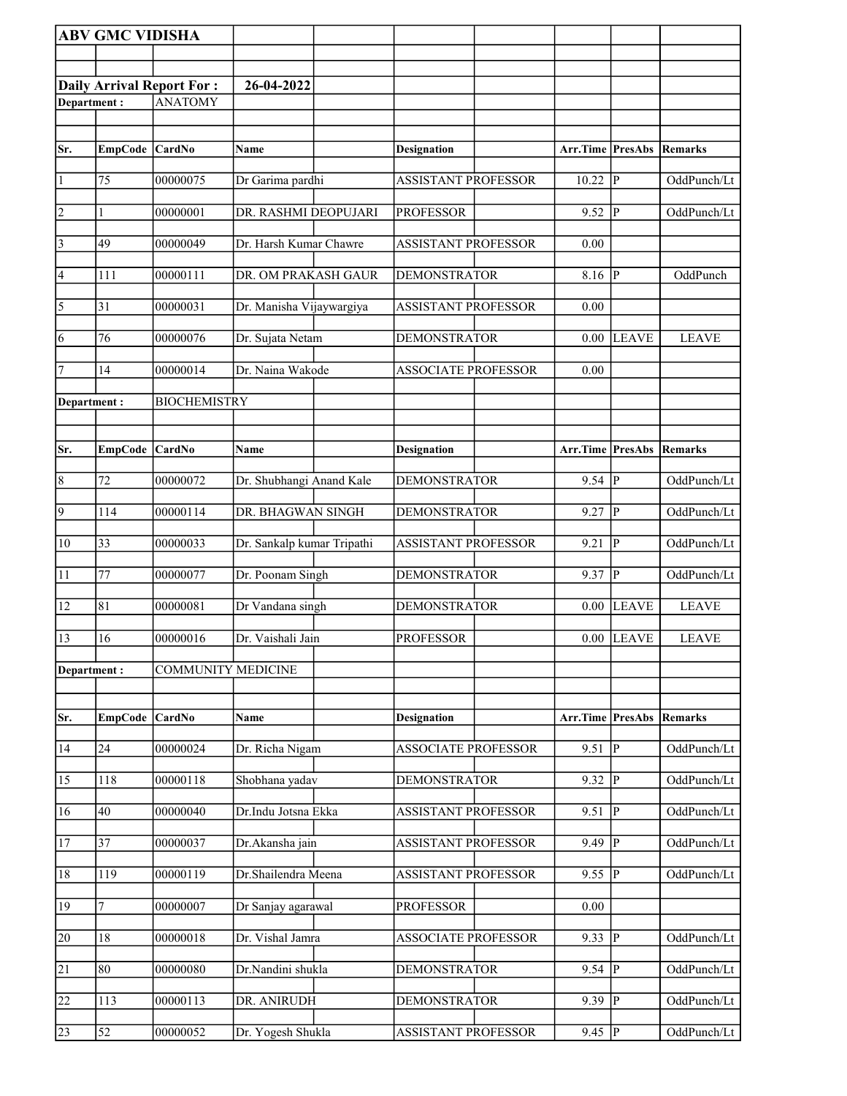|                       | <b>ABV GMC VIDISHA</b> |                                                    |                            |                            |                                 |                |                |
|-----------------------|------------------------|----------------------------------------------------|----------------------------|----------------------------|---------------------------------|----------------|----------------|
|                       |                        |                                                    |                            |                            |                                 |                |                |
|                       |                        |                                                    | 26-04-2022                 |                            |                                 |                |                |
| Department:           |                        | <b>Daily Arrival Report For:</b><br><b>ANATOMY</b> |                            |                            |                                 |                |                |
|                       |                        |                                                    |                            |                            |                                 |                |                |
|                       |                        |                                                    |                            |                            |                                 |                |                |
| Sr.                   | EmpCode CardNo         |                                                    | Name                       | <b>Designation</b>         | <b>Arr.Time PresAbs Remarks</b> |                |                |
| $\vert$ 1             | 75                     | 00000075                                           | Dr Garima pardhi           | <b>ASSISTANT PROFESSOR</b> | 10.22                           | $\overline{P}$ | OddPunch/Lt    |
| $\overline{2}$        | 1                      | 00000001                                           | DR. RASHMI DEOPUJARI       | <b>PROFESSOR</b>           | $9.52$ P                        |                | OddPunch/Lt    |
| $\overline{3}$        | 49                     | 00000049                                           | Dr. Harsh Kumar Chawre     | <b>ASSISTANT PROFESSOR</b> | 0.00                            |                |                |
| $\vert 4$             | 111                    | 00000111                                           | DR. OM PRAKASH GAUR        | <b>DEMONSTRATOR</b>        | 8.16 $\vert \overline{P} \vert$ |                | OddPunch       |
| $\overline{\sqrt{5}}$ | 31                     | 00000031                                           | Dr. Manisha Vijaywargiya   | <b>ASSISTANT PROFESSOR</b> | 0.00                            |                |                |
| $\overline{6}$        | 76                     | 00000076                                           | Dr. Sujata Netam           | <b>DEMONSTRATOR</b>        | 0.00                            | <b>LEAVE</b>   | <b>LEAVE</b>   |
| 7                     | 14                     | 00000014                                           | Dr. Naina Wakode           | <b>ASSOCIATE PROFESSOR</b> | 0.00                            |                |                |
| Department:           |                        | <b>BIOCHEMISTRY</b>                                |                            |                            |                                 |                |                |
|                       |                        |                                                    |                            |                            |                                 |                |                |
| Sr.                   | EmpCode CardNo         |                                                    | Name                       | <b>Designation</b>         | Arr.Time PresAbs                |                | Remarks        |
| $\overline{8}$        | 72                     | 00000072                                           | Dr. Shubhangi Anand Kale   | <b>DEMONSTRATOR</b>        | $9.54$ P                        |                | OddPunch/Lt    |
| $\overline{9}$        | 114                    | 00000114                                           | DR. BHAGWAN SINGH          | <b>DEMONSTRATOR</b>        | 9.27                            | P              | OddPunch/Lt    |
| $ 10\rangle$          | $\overline{33}$        | 00000033                                           | Dr. Sankalp kumar Tripathi | <b>ASSISTANT PROFESSOR</b> | 9.21                            | $\mathbf{P}$   | OddPunch/Lt    |
| $\overline{11}$       | 77                     | 00000077                                           | Dr. Poonam Singh           | <b>DEMONSTRATOR</b>        | 9.37                            | $\overline{P}$ | OddPunch/Lt    |
| 12                    | 81                     | 00000081                                           | Dr Vandana singh           | <b>DEMONSTRATOR</b>        | 0.00                            | <b>LEAVE</b>   | <b>LEAVE</b>   |
| 13                    | 16                     | 00000016                                           | Dr. Vaishali Jain          | <b>PROFESSOR</b>           |                                 | $0.00$ LEAVE   | <b>LEAVE</b>   |
| Department:           |                        | <b>COMMUNITY MEDICINE</b>                          |                            |                            |                                 |                |                |
|                       |                        |                                                    |                            |                            |                                 |                |                |
| Sr.                   | <b>EmpCode</b>         | <b>CardNo</b>                                      | Name                       | <b>Designation</b>         | Arr.Time                        | <b>PresAbs</b> | <b>Remarks</b> |
| 14                    | 24                     | 00000024                                           | Dr. Richa Nigam            | <b>ASSOCIATE PROFESSOR</b> | 9.51                            | $\mathbf P$    | OddPunch/Lt    |
| 15                    | 118                    | 00000118                                           | Shobhana yadav             | <b>DEMONSTRATOR</b>        | 9.32                            | $\mathbf{P}$   | OddPunch/Lt    |
| 16                    | 40                     | 00000040                                           | Dr.Indu Jotsna Ekka        | <b>ASSISTANT PROFESSOR</b> | 9.51                            | $\mathbf P$    | OddPunch/Lt    |
| 17                    | 37                     | 00000037                                           | Dr.Akansha jain            | <b>ASSISTANT PROFESSOR</b> | 9.49                            | $\mathbf{P}$   | OddPunch/Lt    |
| 18                    | 119                    | 00000119                                           | Dr.Shailendra Meena        | <b>ASSISTANT PROFESSOR</b> | 9.55                            | $\overline{P}$ | OddPunch/Lt    |
| 19                    | 7                      | 00000007                                           | Dr Sanjay agarawal         | <b>PROFESSOR</b>           | 0.00                            |                |                |
| 20                    | 18                     | 00000018                                           | Dr. Vishal Jamra           | <b>ASSOCIATE PROFESSOR</b> | 9.33                            | $\mathbf P$    | OddPunch/Lt    |
| $\overline{21}$       | 80                     | 00000080                                           | Dr.Nandini shukla          | <b>DEMONSTRATOR</b>        | 9.54                            | $\mathbf P$    | OddPunch/Lt    |
| 22                    | 113                    | 00000113                                           | DR. ANIRUDH                | <b>DEMONSTRATOR</b>        | 9.39                            | ${\bf P}$      | OddPunch/Lt    |
| 23                    | 52                     | 00000052                                           | Dr. Yogesh Shukla          | <b>ASSISTANT PROFESSOR</b> | 9.45                            | $\mathbf P$    | OddPunch/Lt    |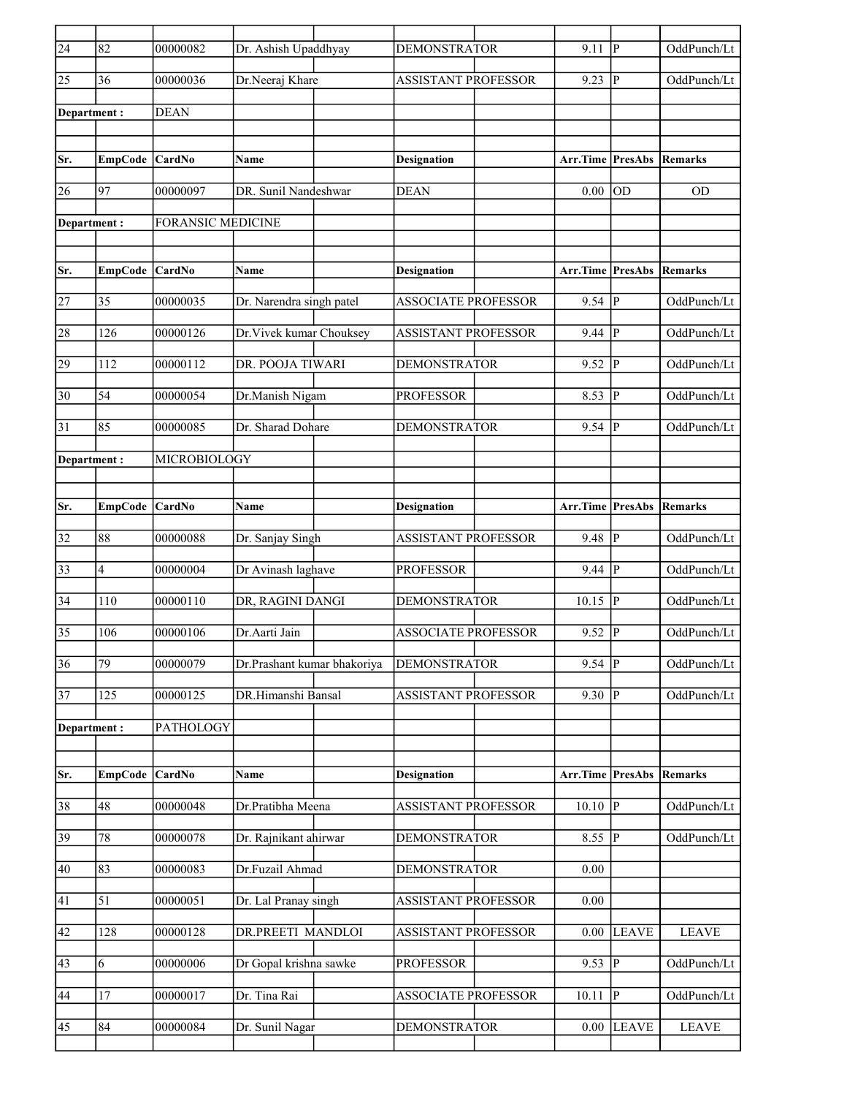| $\overline{24}$ | 82             | 00000082                 | Dr. Ashish Upaddhyay        | <b>DEMONSTRATOR</b>        | 9.11                    | lР             | OddPunch/Lt    |
|-----------------|----------------|--------------------------|-----------------------------|----------------------------|-------------------------|----------------|----------------|
| $\overline{25}$ | 36             | 00000036                 | Dr.Neeraj Khare             | <b>ASSISTANT PROFESSOR</b> | $9.23$ P                |                | OddPunch/Lt    |
| Department:     |                | <b>DEAN</b>              |                             |                            |                         |                |                |
|                 |                |                          |                             |                            |                         |                |                |
| Sr.             | EmpCode CardNo |                          | Name                        | <b>Designation</b>         | Arr.Time PresAbs        |                | Remarks        |
| 26              | 97             | 00000097                 | DR. Sunil Nandeshwar        | <b>DEAN</b>                | 0.00                    | <b>OD</b>      | <b>OD</b>      |
| Department:     |                | <b>FORANSIC MEDICINE</b> |                             |                            |                         |                |                |
|                 |                |                          |                             |                            |                         |                |                |
| Sr.             | <b>EmpCode</b> | CardNo                   | Name                        | <b>Designation</b>         | <b>Arr.Time PresAbs</b> |                | <b>Remarks</b> |
| 27              | 35             | 00000035                 | Dr. Narendra singh patel    | <b>ASSOCIATE PROFESSOR</b> | $9.54$ $\overline{P}$   |                | OddPunch/Lt    |
| 28              | 126            | 00000126                 | Dr. Vivek kumar Chouksey    | <b>ASSISTANT PROFESSOR</b> | 9.44                    | P              | OddPunch/Lt    |
| 29              | 112            | 00000112                 | DR. POOJA TIWARI            | <b>DEMONSTRATOR</b>        | 9.52                    | P              | OddPunch/Lt    |
| $\overline{30}$ | 54             | 00000054                 | Dr.Manish Nigam             | <b>PROFESSOR</b>           | 8.53                    | P              | OddPunch/Lt    |
| 31              | 85             | 00000085                 | Dr. Sharad Dohare           | <b>DEMONSTRATOR</b>        | $9.54$ P                |                | OddPunch/Lt    |
| Department :    |                | MICROBIOLOGY             |                             |                            |                         |                |                |
|                 |                |                          |                             |                            |                         |                |                |
| Sr.             | <b>EmpCode</b> | <b>CardNo</b>            | Name                        | Designation                | Arr.Time PresAbs        |                | Remarks        |
| 32              | 88             | 00000088                 | Dr. Sanjay Singh            | <b>ASSISTANT PROFESSOR</b> | 9.48 P                  |                | OddPunch/Lt    |
| 33              | 4              | 00000004                 | Dr Avinash laghave          | <b>PROFESSOR</b>           | 9.44                    | <sup> </sup> P | OddPunch/Lt    |
| $\overline{34}$ | 110            | 00000110                 | DR, RAGINI DANGI            | <b>DEMONSTRATOR</b>        | 10.15                   | P              | OddPunch/Lt    |
| $\overline{35}$ | 106            | 00000106                 | Dr.Aarti Jain               | <b>ASSOCIATE PROFESSOR</b> | 9.52                    | P              | OddPunch/Lt    |
| $\overline{36}$ | 79             | 00000079                 | Dr.Prashant kumar bhakoriya | <b>DEMONSTRATOR</b>        | $9.54$ P                |                | OddPunch/Lt    |
| $\overline{37}$ | 125            | 00000125                 | DR.Himanshi Bansal          | <b>ASSISTANT PROFESSOR</b> | $9.30$ P                |                | OddPunch/Lt    |
| Department:     |                | PATHOLOGY                |                             |                            |                         |                |                |
|                 |                |                          |                             |                            |                         |                |                |
| Sr.             | <b>EmpCode</b> | CardNo                   | Name                        | <b>Designation</b>         | Arr.Time PresAbs        |                | Remarks        |
| 38              | 48             | 00000048                 | Dr.Pratibha Meena           | <b>ASSISTANT PROFESSOR</b> | $10.10$ P               |                | OddPunch/Lt    |
| 39              | 78             | 00000078                 | Dr. Rajnikant ahirwar       | <b>DEMONSTRATOR</b>        | $8.55$ P                |                | OddPunch/Lt    |
| 40              | 83             | 00000083                 | Dr.Fuzail Ahmad             | <b>DEMONSTRATOR</b>        | 0.00                    |                |                |
| 41              | 51             | 00000051                 | Dr. Lal Pranay singh        | ASSISTANT PROFESSOR        | 0.00                    |                |                |
| 42              | 128            | 00000128                 | DR.PREETI MANDLOI           | <b>ASSISTANT PROFESSOR</b> | $0.00\,$                | <b>LEAVE</b>   | <b>LEAVE</b>   |
| 43              | 6              | 00000006                 | Dr Gopal krishna sawke      | <b>PROFESSOR</b>           | 9.53                    | P              | OddPunch/Lt    |
| 44              | 17             | 00000017                 | Dr. Tina Rai                | ASSOCIATE PROFESSOR        | 10.11                   | P              | OddPunch/Lt    |
| 45              | $\bf 84$       | 00000084                 | Dr. Sunil Nagar             | <b>DEMONSTRATOR</b>        |                         | $0.00$ LEAVE   | <b>LEAVE</b>   |
|                 |                |                          |                             |                            |                         |                |                |